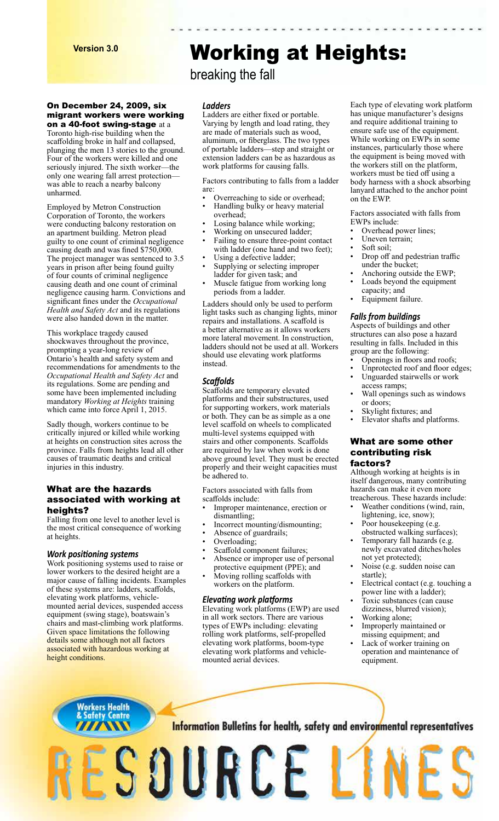#### On December 24, 2009, six migrant workers were working on a 40-foot swing-stage at a

Toronto high-rise building when the scaffolding broke in half and collapsed, plunging the men 13 stories to the ground. Four of the workers were killed and one seriously injured. The sixth worker—the only one wearing fall arrest protection was able to reach a nearby balcony unharmed.

Employed by Metron Construction Corporation of Toronto, the workers were conducting balcony restoration on an apartment building. Metron plead guilty to one count of criminal negligence causing death and was fined \$750,000. The project manager was sentenced to 3.5 years in prison after being found guilty of four counts of criminal negligence causing death and one count of criminal negligence causing harm. Convictions and significant fines under the *Occupational Health and Safety Act* and its regulations were also handed down in the matter.

This workplace tragedy caused shockwaves throughout the province, prompting a year-long review of Ontario's health and safety system and recommendations for amendments to the *Occupational Health and Safety Act* and its regulations. Some are pending and some have been implemented including mandatory *Working at Heights* training which came into force April 1, 2015.

Sadly though, workers continue to be critically injured or killed while working at heights on construction sites across the province. Falls from heights lead all other causes of traumatic deaths and critical injuries in this industry.

### What are the hazards associated with working at heights?

Falling from one level to another level is the most critical consequence of working at heights.

#### *Work positioning systems*

Work positioning systems used to raise or lower workers to the desired height are a major cause of falling incidents. Examples of these systems are: ladders, scaffolds, elevating work platforms, vehiclemounted aerial devices, suspended access equipment (swing stage), boatswain's chairs and mast-climbing work platforms. Given space limitations the following details some although not all factors associated with hazardous working at height conditions.

Workers Health<br><mark>& Safety Centre</mark>

**WW** 

# Working at Heights:

# breaking the fall

#### *Ladders*

Ladders are either fixed or portable. Varying by length and load rating, they are made of materials such as wood, aluminum, or fiberglass. The two types of portable ladders—step and straight or extension ladders can be as hazardous as work platforms for causing falls.

Factors contributing to falls from a ladder are:

- Overreaching to side or overhead;
- Handling bulky or heavy material overhead;
- Losing balance while working;
- Working on unsecured ladder;
- Failing to ensure three-point contact with ladder (one hand and two feet); Using a defective ladder;
- 
- Supplying or selecting improper ladder for given task; and
- Muscle fatigue from working long periods from a ladder.

Ladders should only be used to perform light tasks such as changing lights, minor repairs and installations. A scaffold is a better alternative as it allows workers more lateral movement. In construction, ladders should not be used at all. Workers should use elevating work platforms instead.

### *Scaffolds*

Scaffolds are temporary elevated platforms and their substructures, used for supporting workers, work materials or both. They can be as simple as a one level scaffold on wheels to complicated multi-level systems equipped with stairs and other components. Scaffolds are required by law when work is done above ground level. They must be erected properly and their weight capacities must be adhered to.

Factors associated with falls from scaffolds include:

- Improper maintenance, erection or dismantling;
- Incorrect mounting/dismounting;
- Absence of guardrails;<br>• Overloading:
- Overloading;
- Scaffold component failures;
- Absence or improper use of personal protective equipment (PPE); and
- Moving rolling scaffolds with workers on the platform.

#### *Elevating work platforms*

ESOURCE L1

Elevating work platforms (EWP) are used in all work sectors. There are various types of EWPs including: elevating rolling work platforms, self-propelled elevating work platforms, boom-type elevating work platforms and vehiclemounted aerial devices.

Each type of elevating work platform has unique manufacturer's designs and require additional training to ensure safe use of the equipment. While working on EWPs in some instances, particularly those where the equipment is being moved with the workers still on the platform, workers must be tied off using a body harness with a shock absorbing lanyard attached to the anchor point on the EWP.

Factors associated with falls from EWPs include:

- Overhead power lines;
- Uneven terrain;
- Soft soil;
- Drop off and pedestrian traffic under the bucket;
- Anchoring outside the EWP;
- Loads beyond the equipment capacity; and
- Equipment failure.

# *Falls from buildings*

Aspects of buildings and other structures can also pose a hazard resulting in falls. Included in this group are the following:

- Openings in floors and roofs;
- Unprotected roof and floor edges; Unguarded stairwells or work
- access ramps; Wall openings such as windows
- or doors; Skylight fixtures; and
- 
- Elevator shafts and platforms.

# What are some other contributing risk factors?

Although working at heights is in itself dangerous, many contributing hazards can make it even more treacherous. These hazards include:

- Weather conditions (wind, rain, lightening, ice, snow);
- Poor housekeeping (e.g.
- obstructed walking surfaces); Temporary fall hazards (e.g.
- newly excavated ditches/holes not yet protected);
- Noise (e.g. sudden noise can startle);
- Electrical contact (e.g. touching a power line with a ladder);
- Toxic substances (can cause dizziness, blurred vision);
- Working alone;
- Improperly maintained or missing equipment; and
- Lack of worker training on operation and maintenance of equipment.